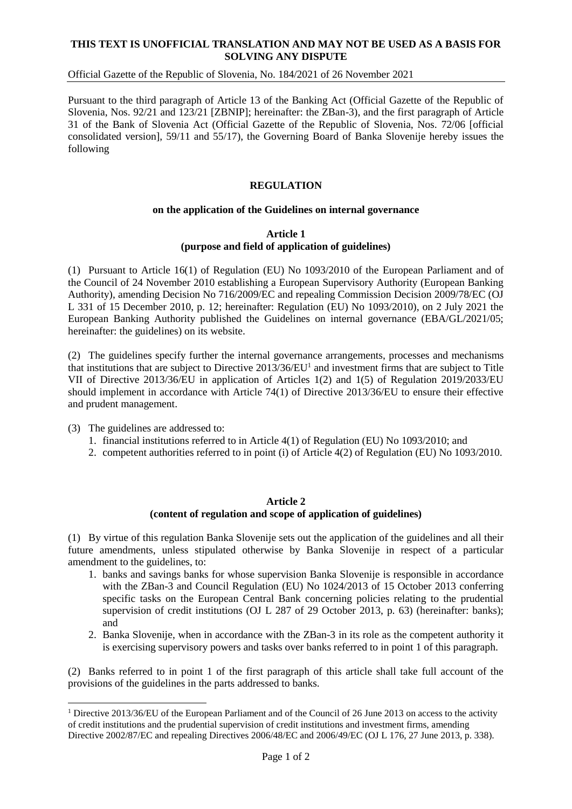# **THIS TEXT IS UNOFFICIAL TRANSLATION AND MAY NOT BE USED AS A BASIS FOR SOLVING ANY DISPUTE**

# Official Gazette of the Republic of Slovenia, No. 184/2021 of 26 November 2021

Pursuant to the third paragraph of Article 13 of the Banking Act (Official Gazette of the Republic of Slovenia, Nos. 92/21 and 123/21 [ZBNIP]; hereinafter: the ZBan-3), and the first paragraph of Article 31 of the Bank of Slovenia Act (Official Gazette of the Republic of Slovenia, Nos. 72/06 [official consolidated version], 59/11 and 55/17), the Governing Board of Banka Slovenije hereby issues the following

# **REGULATION**

## **on the application of the Guidelines on internal governance**

#### **Article 1 (purpose and field of application of guidelines)**

(1) Pursuant to Article 16(1) of Regulation (EU) No 1093/2010 of the European Parliament and of the Council of 24 November 2010 establishing a European Supervisory Authority (European Banking Authority), amending Decision No 716/2009/EC and repealing Commission Decision 2009/78/EC (OJ L 331 of 15 December 2010, p. 12; hereinafter: Regulation (EU) No 1093/2010), on 2 July 2021 the European Banking Authority published the Guidelines on internal governance (EBA/GL/2021/05; hereinafter: the guidelines) on its website.

(2) The guidelines specify further the internal governance arrangements, processes and mechanisms that institutions that are subject to Directive 2013/36/EU<sup>1</sup> and investment firms that are subject to Title VII of Directive 2013/36/EU in application of Articles 1(2) and 1(5) of Regulation 2019/2033/EU should implement in accordance with Article 74(1) of Directive 2013/36/EU to ensure their effective and prudent management.

(3) The guidelines are addressed to:

1

- 1. financial institutions referred to in Article 4(1) of Regulation (EU) No 1093/2010; and
- 2. competent authorities referred to in point (i) of Article 4(2) of Regulation (EU) No 1093/2010.

#### **Article 2**

## **(content of regulation and scope of application of guidelines)**

(1) By virtue of this regulation Banka Slovenije sets out the application of the guidelines and all their future amendments, unless stipulated otherwise by Banka Slovenije in respect of a particular amendment to the guidelines, to:

- 1. banks and savings banks for whose supervision Banka Slovenije is responsible in accordance with the ZBan-3 and Council Regulation (EU) No 1024/2013 of 15 October 2013 conferring specific tasks on the European Central Bank concerning policies relating to the prudential supervision of credit institutions (OJ L 287 of 29 October 2013, p. 63) (hereinafter: banks); and
- 2. Banka Slovenije, when in accordance with the ZBan-3 in its role as the competent authority it is exercising supervisory powers and tasks over banks referred to in point 1 of this paragraph.

(2) Banks referred to in point 1 of the first paragraph of this article shall take full account of the provisions of the guidelines in the parts addressed to banks.

<sup>&</sup>lt;sup>1</sup> Directive 2013/36/EU of the European Parliament and of the Council of 26 June 2013 on access to the activity of credit institutions and the prudential supervision of credit institutions and investment firms, amending Directive 2002/87/EC and repealing Directives 2006/48/EC and 2006/49/EC (OJ L 176, 27 June 2013, p. 338).